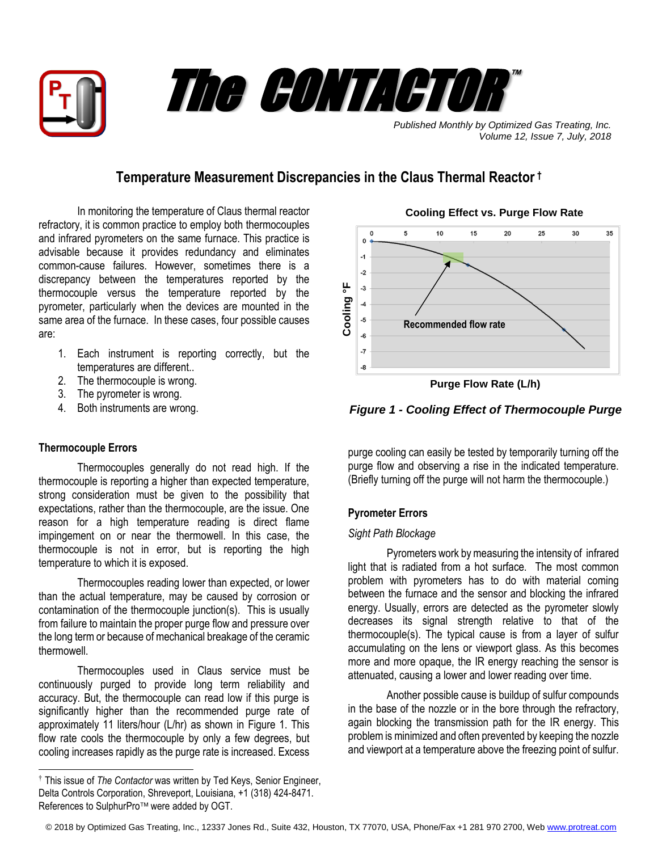



*Published Monthly by Optimized Gas Treating, Inc. Volume 12, Issue 7, July, 2018*

# **Temperature Measurement Discrepancies in the Claus Thermal Reactor †**

In monitoring the temperature of Claus thermal reactor refractory, it is common practice to employ both thermocouples and infrared pyrometers on the same furnace. This practice is advisable because it provides redundancy and eliminates common-cause failures. However, sometimes there is a discrepancy between the temperatures reported by the thermocouple versus the temperature reported by the pyrometer, particularly when the devices are mounted in the same area of the furnace. In these cases, four possible causes are:

- 1. Each instrument is reporting correctly, but the temperatures are different..
- 2. The thermocouple is wrong.
- 3. The pyrometer is wrong.
- 4. Both instruments are wrong.

## **Thermocouple Errors**

 $\overline{a}$ 

Thermocouples generally do not read high. If the thermocouple is reporting a higher than expected temperature, strong consideration must be given to the possibility that expectations, rather than the thermocouple, are the issue. One reason for a high temperature reading is direct flame impingement on or near the thermowell. In this case, the thermocouple is not in error, but is reporting the high temperature to which it is exposed.

Thermocouples reading lower than expected, or lower than the actual temperature, may be caused by corrosion or contamination of the thermocouple junction(s). This is usually from failure to maintain the proper purge flow and pressure over the long term or because of mechanical breakage of the ceramic thermowell.

Thermocouples used in Claus service must be continuously purged to provide long term reliability and accuracy. But, the thermocouple can read low if this purge is significantly higher than the recommended purge rate of approximately 11 liters/hour (L/hr) as shown in Figure 1. This flow rate cools the thermocouple by only a few degrees, but cooling increases rapidly as the purge rate is increased. Excess



**Cooling Effect vs. Purge Flow Rate**

*Figure 1 - Cooling Effect of Thermocouple Purge*

purge cooling can easily be tested by temporarily turning off the purge flow and observing a rise in the indicated temperature. (Briefly turning off the purge will not harm the thermocouple.)

# **Pyrometer Errors**

## *Sight Path Blockage*

Pyrometers work by measuring the intensity of infrared light that is radiated from a hot surface. The most common problem with pyrometers has to do with material coming between the furnace and the sensor and blocking the infrared energy. Usually, errors are detected as the pyrometer slowly decreases its signal strength relative to that of the thermocouple(s). The typical cause is from a layer of sulfur accumulating on the lens or viewport glass. As this becomes more and more opaque, the IR energy reaching the sensor is attenuated, causing a lower and lower reading over time.

Another possible cause is buildup of sulfur compounds in the base of the nozzle or in the bore through the refractory, again blocking the transmission path for the IR energy. This problem is minimized and often prevented by keeping the nozzle and viewport at a temperature above the freezing point of sulfur.

© 2018 by Optimized Gas Treating, Inc., 12337 Jones Rd., Suite 432, Houston, TX 77070, USA, Phone/Fax +1 281 970 2700, We[b www.protreat.com](http://www.protreat.com/)

<sup>†</sup> This issue of *The Contactor* was written by Ted Keys, Senior Engineer, Delta Controls Corporation, Shreveport, Louisiana, +1 (318) 424-8471. References to SulphurPro<sup>™</sup> were added by OGT.